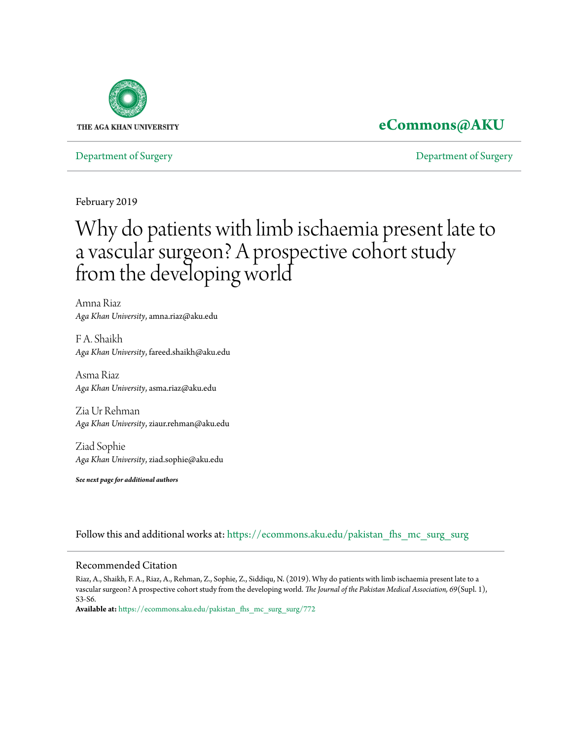

# **[eCommons@AKU](https://ecommons.aku.edu?utm_source=ecommons.aku.edu%2Fpakistan_fhs_mc_surg_surg%2F772&utm_medium=PDF&utm_campaign=PDFCoverPages)**

[Department of Surgery](https://ecommons.aku.edu/pakistan_fhs_mc_surg_surg?utm_source=ecommons.aku.edu%2Fpakistan_fhs_mc_surg_surg%2F772&utm_medium=PDF&utm_campaign=PDFCoverPages) [Department of Surgery](https://ecommons.aku.edu/pakistan_fhs_mc_surg?utm_source=ecommons.aku.edu%2Fpakistan_fhs_mc_surg_surg%2F772&utm_medium=PDF&utm_campaign=PDFCoverPages)

February 2019

# Why do patients with limb ischaemia present late to a vascular surgeon? A prospective cohort study from the developing world

Amna Riaz *Aga Khan University*, amna.riaz@aku.edu

F A. Shaikh *Aga Khan University*, fareed.shaikh@aku.edu

Asma Riaz *Aga Khan University*, asma.riaz@aku.edu

Zia Ur Rehman *Aga Khan University*, ziaur.rehman@aku.edu

Ziad Sophie *Aga Khan University*, ziad.sophie@aku.edu

*See next page for additional authors*

Follow this and additional works at: [https://ecommons.aku.edu/pakistan\\_fhs\\_mc\\_surg\\_surg](https://ecommons.aku.edu/pakistan_fhs_mc_surg_surg?utm_source=ecommons.aku.edu%2Fpakistan_fhs_mc_surg_surg%2F772&utm_medium=PDF&utm_campaign=PDFCoverPages)

# Recommended Citation

Riaz, A., Shaikh, F. A., Riaz, A., Rehman, Z., Sophie, Z., Siddiqu, N. (2019). Why do patients with limb ischaemia present late to a vascular surgeon? A prospective cohort study from the developing world. *The Journal of the Pakistan Medical Association, 69*(Supl. 1), S3-S6.

**Available at:** [https://ecommons.aku.edu/pakistan\\_fhs\\_mc\\_surg\\_surg/772](https://ecommons.aku.edu/pakistan_fhs_mc_surg_surg/772)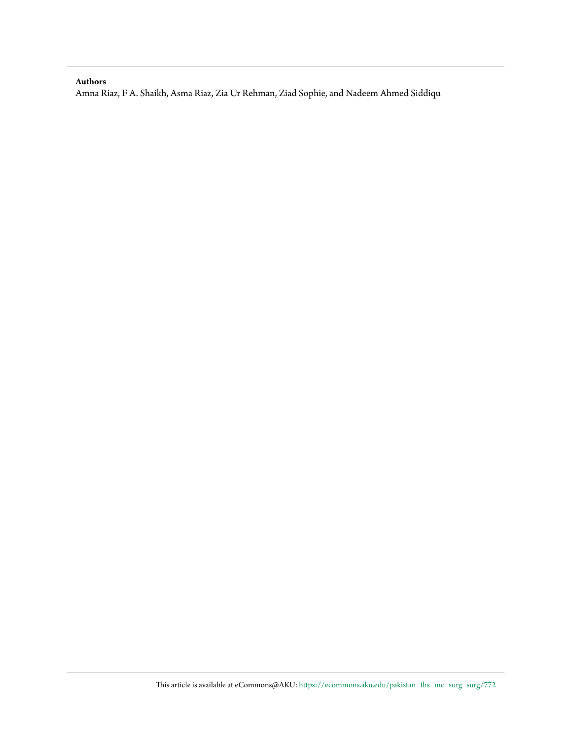#### **Authors**

Amna Riaz, F A. Shaikh, Asma Riaz, Zia Ur Rehman, Ziad Sophie, and Nadeem Ahmed Siddiqu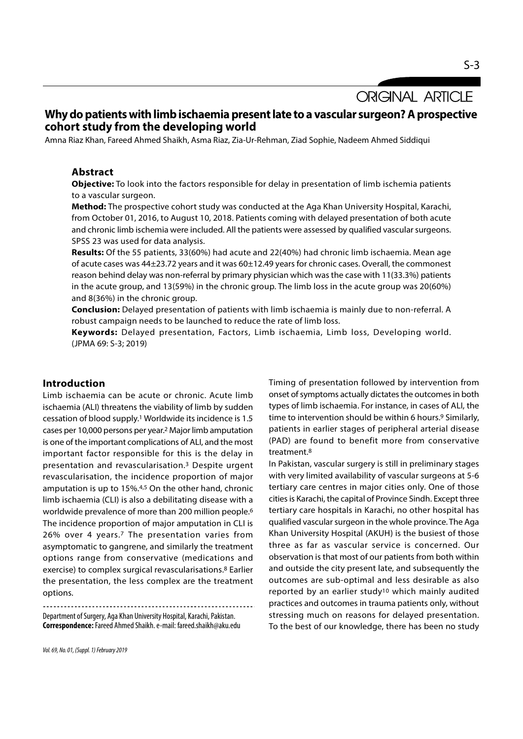# Why do patients with limb ischaemia present late to a vascular surgeon? A prospective cohort study from the developing world

Amna Riaz Khan, Fareed Ahmed Shaikh, Asma Riaz, Zia-Ur-Rehman, Ziad Sophie, Nadeem Ahmed Siddiqui

#### Abstract

Objective: To look into the factors responsible for delay in presentation of limb ischemia patients to a vascular surgeon.

Method: The prospective cohort study was conducted at the Aga Khan University Hospital, Karachi, from October 01, 2016, to August 10, 2018. Patients coming with delayed presentation of both acute and chronic limb ischemia were included. All the patients were assessed by qualified vascular surgeons. SPSS 23 was used for data analysis.

Results: Of the 55 patients, 33(60%) had acute and 22(40%) had chronic limb ischaemia. Mean age of acute cases was 44±23.72 years and it was 60±12.49 years for chronic cases. Overall, the commonest reason behind delay was non-referral by primary physician which was the case with 11(33.3%) patients in the acute group, and 13(59%) in the chronic group. The limb loss in the acute group was 20(60%) and 8(36%) in the chronic group.

Conclusion: Delayed presentation of patients with limb ischaemia is mainly due to non-referral. A robust campaign needs to be launched to reduce the rate of limb loss.

Keywords: Delayed presentation, Factors, Limb ischaemia, Limb loss, Developing world. (JPMA 69: S-3; 2019)

# Introduction

Limb ischaemia can be acute or chronic. Acute limb ischaemia (ALI) threatens the viability of limb by sudden cessation of blood supply.1 Worldwide its incidence is 1.5 cases per 10,000 persons per year.2 Major limb amputation is one of the important complications of ALI, and the most important factor responsible for this is the delay in presentation and revascularisation.3 Despite urgent revascularisation, the incidence proportion of major amputation is up to 15%.4,5 On the other hand, chronic limb ischaemia (CLI) is also a debilitating disease with a worldwide prevalence of more than 200 million people.6 The incidence proportion of major amputation in CLI is 26% over 4 years.7 The presentation varies from asymptomatic to gangrene, and similarly the treatment options range from conservative (medications and exercise) to complex surgical revascularisations.8 Earlier the presentation, the less complex are the treatment options.

Department of Surgery, Aga Khan University Hospital, Karachi, Pakistan. Correspondence: Fareed Ahmed Shaikh. e-mail: fareed.shaikh@aku.edu Timing of presentation followed by intervention from onset of symptoms actually dictates the outcomes in both types of limb ischaemia. For instance, in cases of ALI, the time to intervention should be within 6 hours.<sup>9</sup> Similarly, patients in earlier stages of peripheral arterial disease (PAD) are found to benefit more from conservative treatment.8

In Pakistan, vascular surgery is still in preliminary stages with very limited availability of vascular surgeons at 5-6 tertiary care centres in major cities only. One of those cities is Karachi, the capital of Province Sindh. Except three tertiary care hospitals in Karachi, no other hospital has qualified vascular surgeon in the whole province. The Aga Khan University Hospital (AKUH) is the busiest of those three as far as vascular service is concerned. Our observation is that most of our patients from both within and outside the city present late, and subsequently the outcomes are sub-optimal and less desirable as also reported by an earlier study<sup>10</sup> which mainly audited practices and outcomes in trauma patients only, without stressing much on reasons for delayed presentation. To the best of our knowledge, there has been no study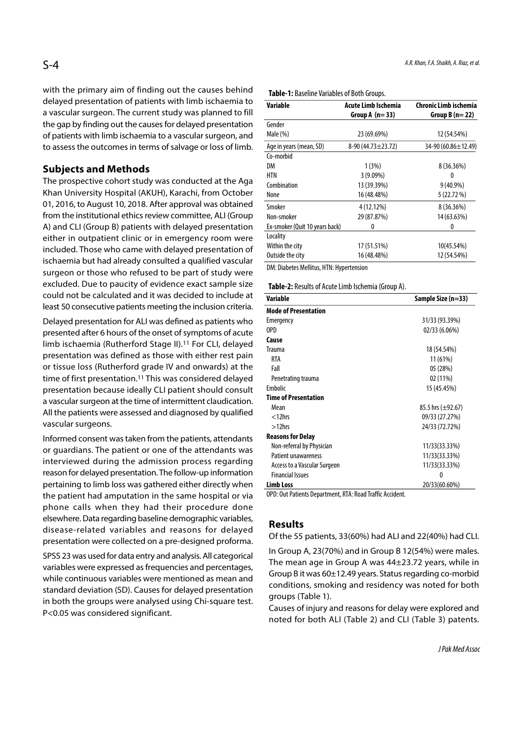with the primary aim of finding out the causes behind delayed presentation of patients with limb ischaemia to a vascular surgeon. The current study was planned to fill the gap by finding out the causes for delayed presentation of patients with limb ischaemia to a vascular surgeon, and to assess the outcomes in terms of salvage or loss of limb.

# Subjects and Methods

The prospective cohort study was conducted at the Aga Khan University Hospital (AKUH), Karachi, from October 01, 2016, to August 10, 2018. After approval was obtained from the institutional ethics review committee, ALI (Group A) and CLI (Group B) patients with delayed presentation either in outpatient clinic or in emergency room were included. Those who came with delayed presentation of ischaemia but had already consulted a qualified vascular surgeon or those who refused to be part of study were excluded. Due to paucity of evidence exact sample size could not be calculated and it was decided to include at least 50 consecutive patients meeting the inclusion criteria.

Delayed presentation for ALI was defined as patients who presented after 6 hours of the onset of symptoms of acute limb ischaemia (Rutherford Stage II).11 For CLI, delayed presentation was defined as those with either rest pain or tissue loss (Rutherford grade IV and onwards) at the time of first presentation.<sup>11</sup> This was considered delayed presentation because ideally CLI patient should consult a vascular surgeon at the time of intermittent claudication. All the patients were assessed and diagnosed by qualified vascular surgeons.

Informed consent was taken from the patients, attendants or guardians. The patient or one of the attendants was interviewed during the admission process regarding reason for delayed presentation. The follow-up information pertaining to limb loss was gathered either directly when the patient had amputation in the same hospital or via phone calls when they had their procedure done elsewhere. Data regarding baseline demographic variables, disease-related variables and reasons for delayed presentation were collected on a pre-designed proforma.

SPSS 23 was used for data entry and analysis. All categorical variables were expressed as frequencies and percentages, while continuous variables were mentioned as mean and standard deviation (SD). Causes for delayed presentation in both the groups were analysed using Chi-square test. P<0.05 was considered significant.

| Variable                       | Acute Limb Ischemia     | <b>Chronic Limb ischemia</b> |
|--------------------------------|-------------------------|------------------------------|
|                                | Group A $(n=33)$        | Group B $(n=22)$             |
| Gender                         |                         |                              |
| Male (%)                       | 23 (69.69%)             | 12 (54.54%)                  |
| Age in years (mean, SD)        | $8-90(44.73 \pm 23.72)$ | 34-90 (60.86±12.49)          |
| Co-morbid                      |                         |                              |
| DM                             | 1(3%)                   | 8 (36.36%)                   |
| <b>HTN</b>                     | $3(9.09\%)$             | 0                            |
| Combination                    | 13 (39.39%)             | $9(40.9\%)$                  |
| None                           | 16 (48.48%)             | 5 (22.72 %)                  |
| Smoker                         | 4 (12.12%)              | 8 (36.36%)                   |
| Non-smoker                     | 29 (87.87%)             | 14 (63.63%)                  |
| Ex-smoker (Quit 10 years back) | 0                       | 0                            |
| Locality                       |                         |                              |
| Within the city                | 17 (51.51%)             | 10(45.54%)                   |
| Outside the city               | 16 (48.48%)             | 12 (54.54%)                  |
| <b>PLANE LASS AND INC.</b>     |                         |                              |

DM: Diabetes Mellitus, HTN: Hypertension

Table-2: Results of Acute Limb Ischemia (Group A).

| <b>Variable</b>                                 | Sample Size (n=33)     |
|-------------------------------------------------|------------------------|
| <b>Mode of Presentation</b>                     |                        |
| Emergency                                       | 31/33 (93.39%)         |
| OPD                                             | 02/33 (6.06%)          |
| Cause                                           |                        |
| Trauma                                          | 18 (54.54%)            |
| RTA                                             | 11 (61%)               |
| Fall                                            | 05 (28%)               |
| Penetrating trauma                              | 02 (11%)               |
| Embolic                                         | 15 (45.45%)            |
| <b>Time of Presentation</b>                     |                        |
| Mean                                            | 85.5 hrs $(\pm 92.67)$ |
| $<$ 12 $h$ rs                                   | 09/33 (27.27%)         |
| $>12$ hrs                                       | 24/33 (72.72%)         |
| <b>Reasons for Delay</b>                        |                        |
| Non-referral by Physician                       | 11/33(33.33%)          |
| <b>Patient unawareness</b>                      | 11/33(33.33%)          |
| Access to a Vascular Surgeon                    | 11/33(33.33%)          |
| <b>Financial Issues</b>                         | 0                      |
| <b>Limb Loss</b><br>$\sim$ $\sim$ $\sim$ $\sim$ | 20/33(60.60%)          |

OPD: Out Patients Department, RTA: Road Traffic Accident.

### Results

Of the 55 patients, 33(60%) had ALI and 22(40%) had CLI.

In Group A, 23(70%) and in Group B 12(54%) were males. The mean age in Group A was 44±23.72 years, while in Group B it was 60±12.49 years. Status regarding co-morbid conditions, smoking and residency was noted for both groups (Table 1).

Causes of injury and reasons for delay were explored and noted for both ALI (Table 2) and CLI (Table 3) patents.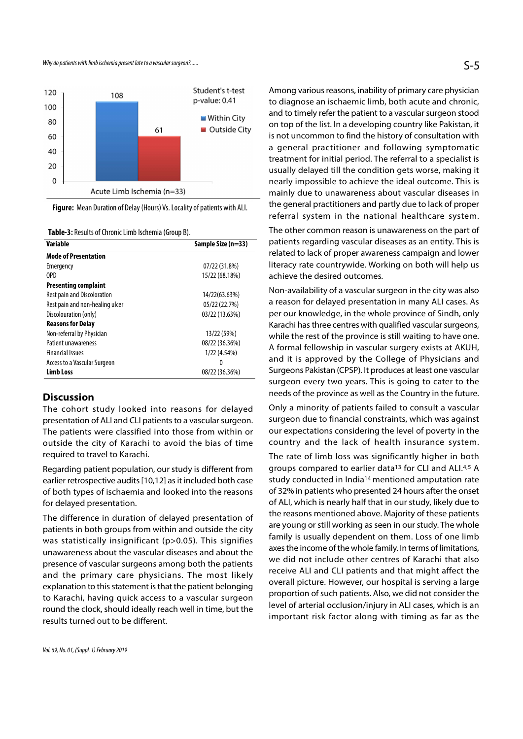

Figure: Mean Duration of Delay (Hours) Vs. Locality of patients with ALI.

Table-3: Results of Chronic Limb Ischemia (Group B).

| <b>Variable</b>                     | Sample Size (n=33) |
|-------------------------------------|--------------------|
| <b>Mode of Presentation</b>         |                    |
| Emergency                           | 07/22 (31.8%)      |
| 0PD                                 | 15/22 (68.18%)     |
| <b>Presenting complaint</b>         |                    |
| <b>Rest pain and Discoloration</b>  | 14/22(63.63%)      |
| Rest pain and non-healing ulcer     | 05/22(22.7%)       |
| Discolouration (only)               | 03/22 (13.63%)     |
| <b>Reasons for Delay</b>            |                    |
| Non-referral by Physician           | 13/22 (59%)        |
| Patient unawareness                 | 08/22 (36.36%)     |
| <b>Financial Issues</b>             | 1/22 (4.54%)       |
| <b>Access to a Vascular Surgeon</b> | 0                  |
| <b>Limb Loss</b>                    | 08/22 (36.36%)     |

# **Discussion**

The cohort study looked into reasons for delayed presentation of ALI and CLI patients to a vascular surgeon. The patients were classified into those from within or outside the city of Karachi to avoid the bias of time required to travel to Karachi.

Regarding patient population, our study is different from earlier retrospective audits [10,12] as it included both case of both types of ischaemia and looked into the reasons for delayed presentation.

The difference in duration of delayed presentation of patients in both groups from within and outside the city was statistically insignificant (p>0.05). This signifies unawareness about the vascular diseases and about the presence of vascular surgeons among both the patients and the primary care physicians. The most likely explanation to this statement is that the patient belonging to Karachi, having quick access to a vascular surgeon round the clock, should ideally reach well in time, but the results turned out to be different.

Among various reasons, inability of primary care physician to diagnose an ischaemic limb, both acute and chronic, and to timely refer the patient to a vascular surgeon stood on top of the list. In a developing country like Pakistan, it is not uncommon to find the history of consultation with a general practitioner and following symptomatic treatment for initial period. The referral to a specialist is usually delayed till the condition gets worse, making it nearly impossible to achieve the ideal outcome. This is mainly due to unawareness about vascular diseases in the general practitioners and partly due to lack of proper referral system in the national healthcare system.

The other common reason is unawareness on the part of patients regarding vascular diseases as an entity. This is related to lack of proper awareness campaign and lower literacy rate countrywide. Working on both will help us achieve the desired outcomes.

Non-availability of a vascular surgeon in the city was also a reason for delayed presentation in many ALI cases. As per our knowledge, in the whole province of Sindh, only Karachi has three centres with qualified vascular surgeons, while the rest of the province is still waiting to have one. A formal fellowship in vascular surgery exists at AKUH, and it is approved by the College of Physicians and Surgeons Pakistan (CPSP). It produces at least one vascular surgeon every two years. This is going to cater to the needs of the province as well as the Country in the future.

Only a minority of patients failed to consult a vascular surgeon due to financial constraints, which was against our expectations considering the level of poverty in the country and the lack of health insurance system.

The rate of limb loss was significantly higher in both groups compared to earlier data13 for CLI and ALI.4,5 A study conducted in India14 mentioned amputation rate of 32% in patients who presented 24 hours after the onset of ALI, which is nearly half that in our study, likely due to the reasons mentioned above. Majority of these patients are young or still working as seen in our study. The whole family is usually dependent on them. Loss of one limb axes the income of the whole family. In terms of limitations, we did not include other centres of Karachi that also receive ALI and CLI patients and that might affect the overall picture. However, our hospital is serving a large proportion of such patients. Also, we did not consider the level of arterial occlusion/injury in ALI cases, which is an important risk factor along with timing as far as the